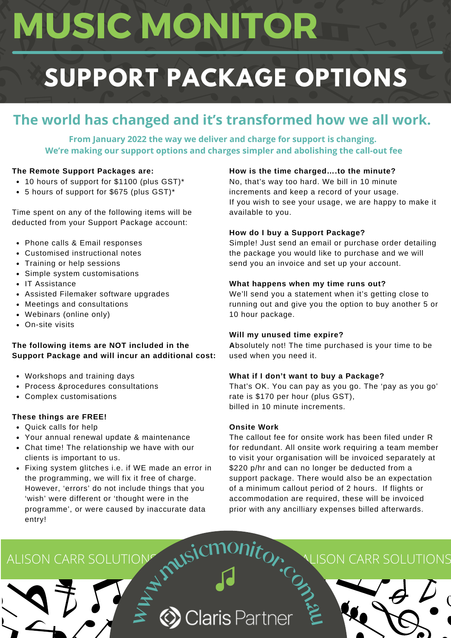# **MUSIC MONITOR**

## **SUPPORT PACKAGE OPTIONS**

### **The world has changed and it's transformed how we all work.**

**From January 2022 the way we deliver and charge for support is changing. We're making our support options and charges simpler and abolishing the call-out fee**

#### **The Remote Support Packages are:**

- 10 hours of support for \$1100 (plus GST)\*
- 5 hours of support for \$675 (plus GST)\*

Time spent on any of the following items will be deducted from your Support Package account:

- Phone calls & Email responses
- Customised instructional notes
- Training or help sessions
- Simple system customisations
- IT Assistance
- Assisted Filemaker software upgrades
- Meetings and consultations
- Webinars (online only)
- On-site visits

#### **The following items are NOT included in the Support Package and will incur an additional cost:**

- Workshops and training days
- Process &procedures consultations
- Complex customisations

#### **These things are FREE!**

- Quick calls for help
- Your annual renewal update & maintenance
- Chat time! The relationship we have with our clients is important to us.
- Fixing system glitches i.e. if WE made an error in the programming, we will fix it free of charge. However, 'errors' do not include things that you 'wish' were different or 'thought were in the programme', or were caused by inaccurate data entry!

#### **How is the time charged….to the minute?**

No, that's way too hard. We bill in 10 minute increments and keep a record of your usage. If you wish to see your usage, we are happy to make it available to you.

#### **How do I buy a Support Package?**

Simple! Just send an email or purchase order detailing the package you would like to purchase and we will send you an invoice and set up your account.

#### **What happens when my time runs out?**

We'll send you a statement when it's getting close to running out and give you the option to buy another 5 or 10 hour package.

#### **Will my unused time expire?**

**A**bsolutely not! The time purchased is your time to be used when you need it.

#### **What if I don't want to buy a Package?**

That's OK. You can pay as you go. The 'pay as you go' rate is \$170 per hour (plus GST), billed in 10 minute increments.

#### **Onsite Work**

The callout fee for onsite work has been filed under R for redundant. All onsite work requiring a team member to visit your organisation will be invoiced separately at \$220 p/hr and can no longer be deducted from a support package. There would also be an expectation of a minimum callout period of 2 hours. If flights or accommodation are required, these will be invoiced prior with any ancilliary expenses billed afterwards.

# ALISON CARR SOLUTIONS AND RELATED TO A LISON CARR SOLUTIONS **us**<br> **E**<br> **E**<br> **E**<br> **S** Claris Partner